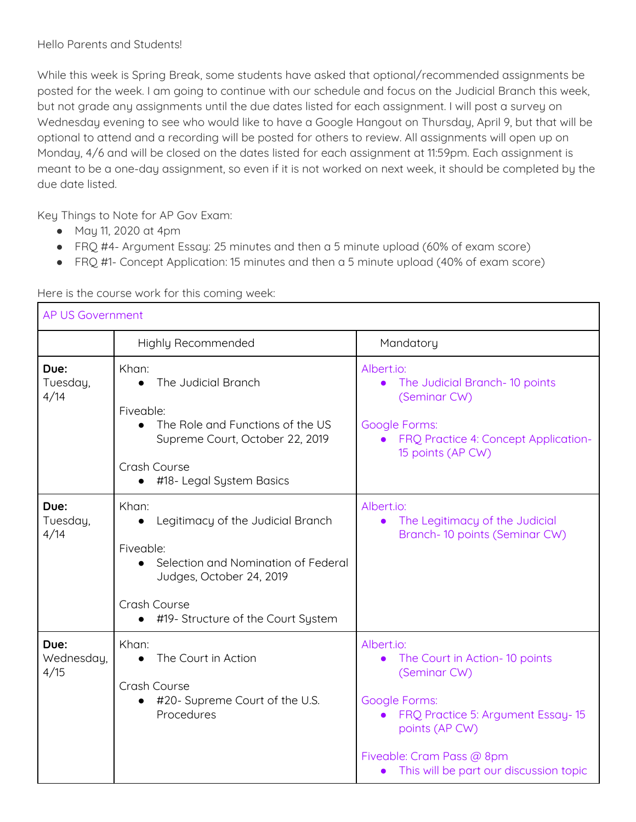While this week is Spring Break, some students have asked that optional/recommended assignments be posted for the week. I am going to continue with our schedule and focus on the Judicial Branch this week, but not grade any assignments until the due dates listed for each assignment. I will post a survey on Wednesday evening to see who would like to have a Google Hangout on Thursday, April 9, but that will be optional to attend and a recording will be posted for others to review. All assignments will open up on Monday, 4/6 and will be closed on the dates listed for each assignment at 11:59pm. Each assignment is meant to be a one-day assignment, so even if it is not worked on next week, it should be completed by the due date listed.

Key Things to Note for AP Gov Exam:

- May 11, 2020 at 4pm
- FRQ #4- Argument Essay: 25 minutes and then a 5 minute upload (60% of exam score)
- FRQ #1- Concept Application: 15 minutes and then a 5 minute upload (40% of exam score)

| <b>AP US Government</b>    |                                                                                                                                                                                               |                                                                                                                                                                                                                            |
|----------------------------|-----------------------------------------------------------------------------------------------------------------------------------------------------------------------------------------------|----------------------------------------------------------------------------------------------------------------------------------------------------------------------------------------------------------------------------|
|                            | Highly Recommended                                                                                                                                                                            | Mandatory                                                                                                                                                                                                                  |
| Due:<br>Tuesday,<br>4/14   | Khan:<br>The Judicial Branch<br>$\bullet$                                                                                                                                                     | Albert.io:<br>The Judicial Branch-10 points<br>(Seminar CW)                                                                                                                                                                |
|                            | Fiveable:<br>The Role and Functions of the US<br>Supreme Court, October 22, 2019<br>Crash Course<br>#18- Legal System Basics<br>$\bullet$                                                     | <b>Google Forms:</b><br>FRQ Practice 4: Concept Application-<br>15 points (AP CW)                                                                                                                                          |
| Due:<br>Tuesday,<br>4/14   | Khan:<br>Legitimacy of the Judicial Branch<br>$\bullet$<br>Fiveable:<br>Selection and Nomination of Federal<br>Judges, October 24, 2019<br>Crash Course<br>#19- Structure of the Court System | Albert.io:<br>The Legitimacy of the Judicial<br>$\bullet$<br>Branch-10 points (Seminar CW)                                                                                                                                 |
| Due:<br>Wednesday,<br>4/15 | Khan:<br>The Court in Action<br>$\bullet$<br>Crash Course<br>#20- Supreme Court of the U.S.<br>$\bullet$<br>Procedures                                                                        | Albert.io:<br>The Court in Action- 10 points<br>$\bullet$<br>(Seminar CW)<br>Google Forms:<br>FRQ Practice 5: Argument Essay-15<br>points (AP CW)<br>Fiveable: Cram Pass @ 8pm<br>• This will be part our discussion topic |

Here is the course work for this coming week: